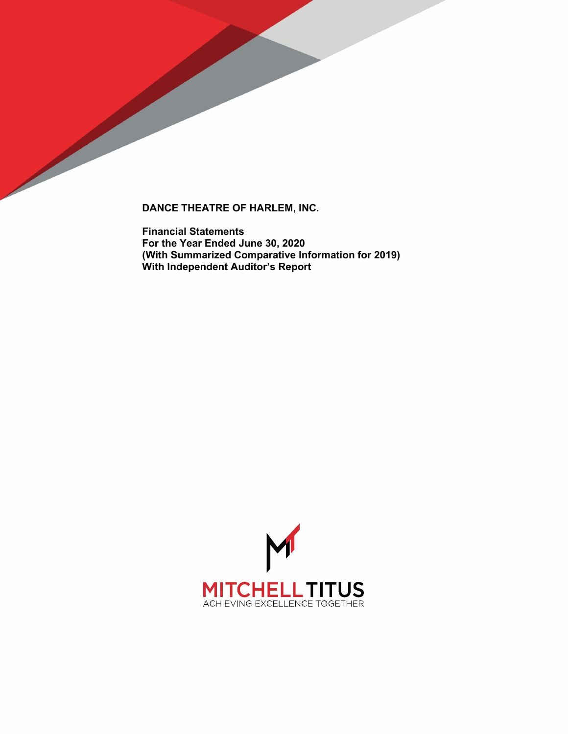

**Financial Statements For the Year Ended June 30, 2020 (With Summarized Comparative Information for 2019) With Independent Auditor's Report**

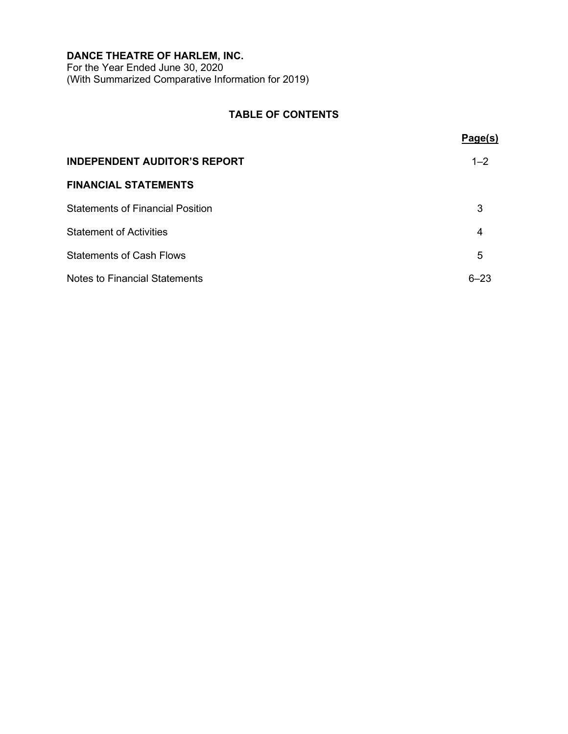For the Year Ended June 30, 2020 (With Summarized Comparative Information for 2019)

# **TABLE OF CONTENTS**

|                                      | Page(s)  |
|--------------------------------------|----------|
| <b>INDEPENDENT AUDITOR'S REPORT</b>  | $1 - 2$  |
| <b>FINANCIAL STATEMENTS</b>          |          |
| Statements of Financial Position     | 3        |
| <b>Statement of Activities</b>       | 4        |
| <b>Statements of Cash Flows</b>      | 5        |
| <b>Notes to Financial Statements</b> | $6 - 23$ |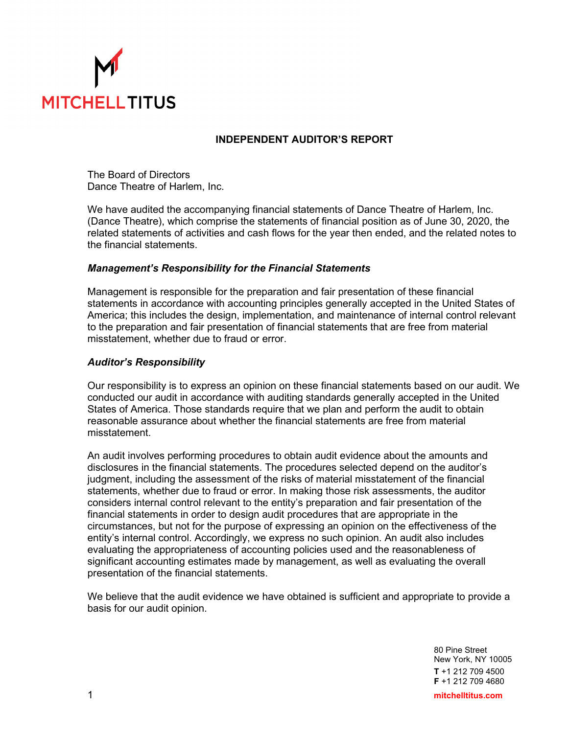

# **INDEPENDENT AUDITOR'S REPORT**

The Board of Directors Dance Theatre of Harlem, Inc.

We have audited the accompanying financial statements of Dance Theatre of Harlem, Inc. (Dance Theatre), which comprise the statements of financial position as of June 30, 2020, the related statements of activities and cash flows for the year then ended, and the related notes to the financial statements.

## *Management's Responsibility for the Financial Statements*

Management is responsible for the preparation and fair presentation of these financial statements in accordance with accounting principles generally accepted in the United States of America; this includes the design, implementation, and maintenance of internal control relevant to the preparation and fair presentation of financial statements that are free from material misstatement, whether due to fraud or error.

# *Auditor's Responsibility*

Our responsibility is to express an opinion on these financial statements based on our audit. We conducted our audit in accordance with auditing standards generally accepted in the United States of America. Those standards require that we plan and perform the audit to obtain reasonable assurance about whether the financial statements are free from material misstatement.

An audit involves performing procedures to obtain audit evidence about the amounts and disclosures in the financial statements. The procedures selected depend on the auditor's judgment, including the assessment of the risks of material misstatement of the financial statements, whether due to fraud or error. In making those risk assessments, the auditor considers internal control relevant to the entity's preparation and fair presentation of the financial statements in order to design audit procedures that are appropriate in the circumstances, but not for the purpose of expressing an opinion on the effectiveness of the entity's internal control. Accordingly, we express no such opinion. An audit also includes evaluating the appropriateness of accounting policies used and the reasonableness of significant accounting estimates made by management, as well as evaluating the overall presentation of the financial statements.

We believe that the audit evidence we have obtained is sufficient and appropriate to provide a basis for our audit opinion.

> 80 Pine Street New York, NY 10005 **T** +1 212 709 4500 **F** +1 212 709 4680

1 **mitchelltitus.com**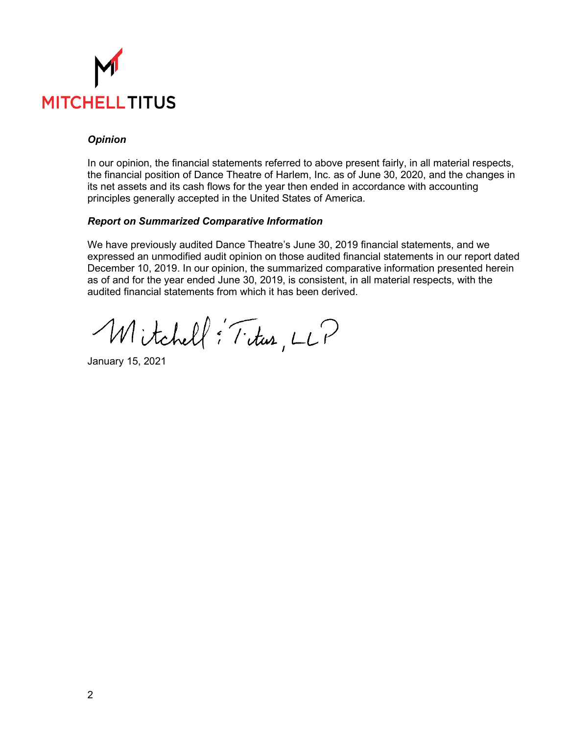

# *Opinion*

In our opinion, the financial statements referred to above present fairly, in all material respects, the financial position of Dance Theatre of Harlem, Inc. as of June 30, 2020, and the changes in its net assets and its cash flows for the year then ended in accordance with accounting principles generally accepted in the United States of America.

## *Report on Summarized Comparative Information*

We have previously audited Dance Theatre's June 30, 2019 financial statements, and we expressed an unmodified audit opinion on those audited financial statements in our report dated December 10, 2019. In our opinion, the summarized comparative information presented herein as of and for the year ended June 30, 2019, is consistent, in all material respects, with the audited financial statements from which it has been derived.

Mitchell: Titus, LLP

January 15, 2021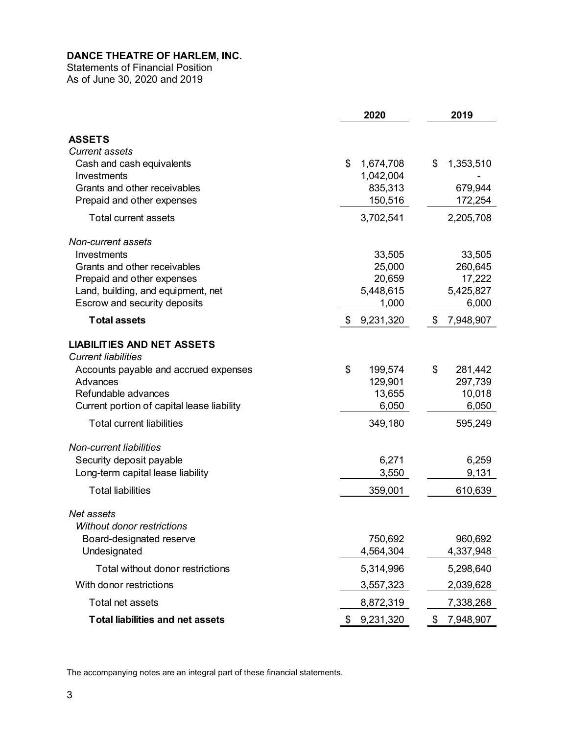Statements of Financial Position As of June 30, 2020 and 2019

|                                            | 2020            | 2019            |
|--------------------------------------------|-----------------|-----------------|
| <b>ASSETS</b>                              |                 |                 |
| <b>Current assets</b>                      |                 |                 |
| Cash and cash equivalents                  | \$<br>1,674,708 | \$<br>1,353,510 |
| Investments                                | 1,042,004       |                 |
| Grants and other receivables               | 835,313         | 679,944         |
| Prepaid and other expenses                 | 150,516         | 172,254         |
| <b>Total current assets</b>                | 3,702,541       | 2,205,708       |
| Non-current assets                         |                 |                 |
| Investments                                | 33,505          | 33,505          |
| Grants and other receivables               | 25,000          | 260,645         |
| Prepaid and other expenses                 | 20,659          | 17,222          |
| Land, building, and equipment, net         | 5,448,615       | 5,425,827       |
| Escrow and security deposits               | 1,000           | 6,000           |
| <b>Total assets</b>                        | \$<br>9,231,320 | \$<br>7,948,907 |
| <b>LIABILITIES AND NET ASSETS</b>          |                 |                 |
| <b>Current liabilities</b>                 |                 |                 |
| Accounts payable and accrued expenses      | \$<br>199,574   | \$<br>281,442   |
| Advances                                   | 129,901         | 297,739         |
| Refundable advances                        | 13,655          | 10,018          |
| Current portion of capital lease liability | 6,050           | 6,050           |
| <b>Total current liabilities</b>           | 349,180         | 595,249         |
| <b>Non-current liabilities</b>             |                 |                 |
| Security deposit payable                   | 6,271           | 6,259           |
| Long-term capital lease liability          | 3,550           | 9,131           |
| <b>Total liabilities</b>                   | 359,001         | 610,639         |
| Net assets                                 |                 |                 |
| Without donor restrictions                 |                 |                 |
| Board-designated reserve                   | 750,692         | 960,692         |
| Undesignated                               | 4,564,304       | 4,337,948       |
| Total without donor restrictions           | 5,314,996       | 5,298,640       |
| With donor restrictions                    | 3,557,323       | 2,039,628       |
| Total net assets                           | 8,872,319       | 7,338,268       |
| <b>Total liabilities and net assets</b>    | 9,231,320<br>\$ | \$<br>7,948,907 |

The accompanying notes are an integral part of these financial statements.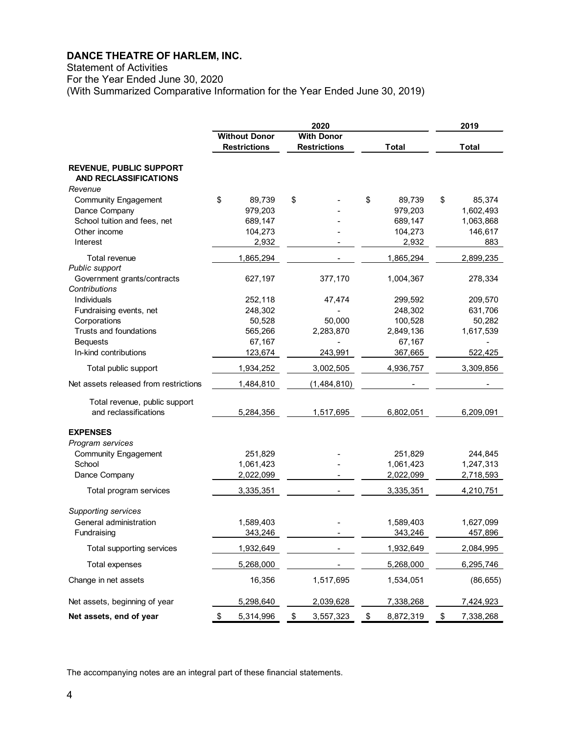Statement of Activities

For the Year Ended June 30, 2020

(With Summarized Comparative Information for the Year Ended June 30, 2019)

| <b>Without Donor</b><br><b>With Donor</b><br><b>Restrictions</b><br><b>Restrictions</b><br><b>Total</b><br><b>Total</b><br><b>REVENUE, PUBLIC SUPPORT</b><br>AND RECLASSIFICATIONS<br>Revenue<br>\$<br>\$<br>\$<br>89,739<br><b>Community Engagement</b><br>89,739<br>\$<br>85,374 |     |
|------------------------------------------------------------------------------------------------------------------------------------------------------------------------------------------------------------------------------------------------------------------------------------|-----|
|                                                                                                                                                                                                                                                                                    |     |
|                                                                                                                                                                                                                                                                                    |     |
|                                                                                                                                                                                                                                                                                    |     |
|                                                                                                                                                                                                                                                                                    |     |
|                                                                                                                                                                                                                                                                                    |     |
| Dance Company<br>979,203<br>979,203<br>1,602,493                                                                                                                                                                                                                                   |     |
| School tuition and fees, net<br>689,147<br>689,147<br>1,063,868                                                                                                                                                                                                                    |     |
| Other income<br>104,273<br>146,617<br>104,273                                                                                                                                                                                                                                      |     |
| Interest<br>2,932<br>2,932                                                                                                                                                                                                                                                         | 883 |
| Total revenue<br>1,865,294<br>1,865,294<br>2,899,235                                                                                                                                                                                                                               |     |
| Public support                                                                                                                                                                                                                                                                     |     |
| Government grants/contracts<br>627,197<br>377,170<br>1,004,367<br>278,334<br>Contributions                                                                                                                                                                                         |     |
| Individuals<br>252,118<br>47,474<br>209,570<br>299,592                                                                                                                                                                                                                             |     |
| 248,302<br>248,302<br>631,706<br>Fundraising events, net                                                                                                                                                                                                                           |     |
| 50,528<br>100,528<br>Corporations<br>50,000<br>50,282                                                                                                                                                                                                                              |     |
| Trusts and foundations<br>565,266<br>2,283,870<br>2,849,136<br>1,617,539                                                                                                                                                                                                           |     |
| 67,167<br><b>Bequests</b><br>67,167                                                                                                                                                                                                                                                |     |
| In-kind contributions<br>123,674<br>243,991<br>367,665<br>522,425                                                                                                                                                                                                                  |     |
| 1,934,252<br>3,002,505<br>4,936,757<br>3,309,856<br>Total public support                                                                                                                                                                                                           |     |
| Net assets released from restrictions<br>1,484,810<br>(1,484,810)                                                                                                                                                                                                                  |     |
| Total revenue, public support                                                                                                                                                                                                                                                      |     |
| and reclassifications<br>5,284,356<br>1,517,695<br>6,802,051<br>6,209,091                                                                                                                                                                                                          |     |
| <b>EXPENSES</b>                                                                                                                                                                                                                                                                    |     |
| Program services                                                                                                                                                                                                                                                                   |     |
| <b>Community Engagement</b><br>251,829<br>251,829<br>244,845                                                                                                                                                                                                                       |     |
| School<br>1,061,423<br>1,061,423<br>1,247,313                                                                                                                                                                                                                                      |     |
| 2,022,099<br>2,022,099<br>Dance Company<br>2,718,593                                                                                                                                                                                                                               |     |
| 3,335,351<br>3,335,351<br>4,210,751<br>Total program services                                                                                                                                                                                                                      |     |
| Supporting services                                                                                                                                                                                                                                                                |     |
| General administration<br>1,589,403<br>1,589,403<br>1,627,099                                                                                                                                                                                                                      |     |
| 343.246<br>343.246<br>457.896<br>Fundraising                                                                                                                                                                                                                                       |     |
| 1,932,649<br>2,084,995<br>Total supporting services<br>1,932,649                                                                                                                                                                                                                   |     |
| Total expenses<br>5,268,000<br>5,268,000<br>6,295,746                                                                                                                                                                                                                              |     |
| Change in net assets<br>16,356<br>1,517,695<br>1,534,051<br>(86, 655)                                                                                                                                                                                                              |     |
| Net assets, beginning of year<br>5,298,640<br>2,039,628<br>7,338,268<br>7,424,923                                                                                                                                                                                                  |     |
| Net assets, end of year<br>7,338,268<br>5,314,996<br>3,557,323<br>8,872,319<br>\$<br>\$<br>\$<br>\$                                                                                                                                                                                |     |

The accompanying notes are an integral part of these financial statements.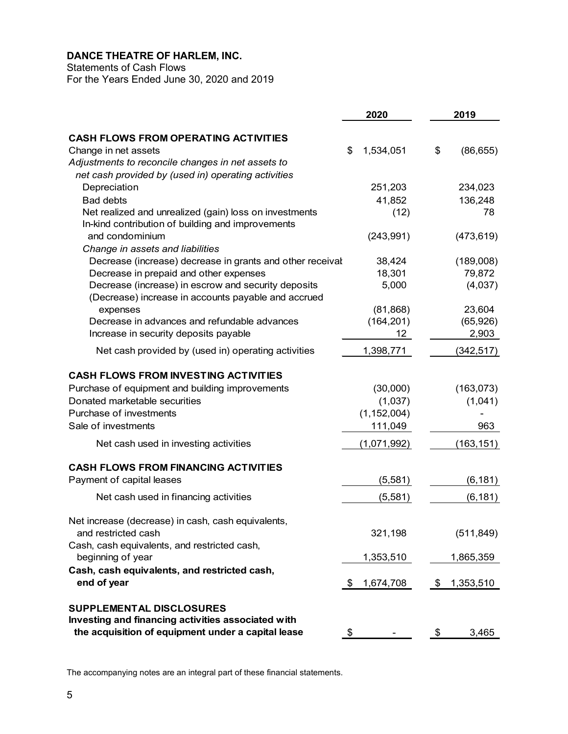Statements of Cash Flows

For the Years Ended June 30, 2020 and 2019

|                                                                                                             | 2020            | 2019 |            |
|-------------------------------------------------------------------------------------------------------------|-----------------|------|------------|
| <b>CASH FLOWS FROM OPERATING ACTIVITIES</b>                                                                 |                 |      |            |
| Change in net assets                                                                                        | 1,534,051<br>\$ | \$   | (86, 655)  |
| Adjustments to reconcile changes in net assets to                                                           |                 |      |            |
| net cash provided by (used in) operating activities                                                         |                 |      |            |
| Depreciation                                                                                                | 251,203         |      | 234,023    |
| <b>Bad debts</b>                                                                                            | 41,852          |      | 136,248    |
| Net realized and unrealized (gain) loss on investments<br>In-kind contribution of building and improvements | (12)            |      | 78         |
| and condominium                                                                                             | (243, 991)      |      | (473, 619) |
| Change in assets and liabilities                                                                            |                 |      |            |
| Decrease (increase) decrease in grants and other receival                                                   | 38,424          |      | (189,008)  |
| Decrease in prepaid and other expenses                                                                      | 18,301          |      | 79,872     |
| Decrease (increase) in escrow and security deposits<br>(Decrease) increase in accounts payable and accrued  | 5,000           |      | (4,037)    |
| expenses                                                                                                    | (81, 868)       |      | 23,604     |
| Decrease in advances and refundable advances                                                                | (164, 201)      |      | (65, 926)  |
| Increase in security deposits payable                                                                       | 12 <sup>2</sup> |      | 2,903      |
| Net cash provided by (used in) operating activities                                                         | 1,398,771       |      | (342, 517) |
| <b>CASH FLOWS FROM INVESTING ACTIVITIES</b>                                                                 |                 |      |            |
| Purchase of equipment and building improvements                                                             | (30,000)        |      | (163,073)  |
| Donated marketable securities                                                                               | (1,037)         |      | (1,041)    |
| Purchase of investments                                                                                     | (1, 152, 004)   |      |            |
| Sale of investments                                                                                         | 111,049         |      | 963        |
| Net cash used in investing activities                                                                       | (1,071,992)     |      | (163, 151) |
| <b>CASH FLOWS FROM FINANCING ACTIVITIES</b>                                                                 |                 |      |            |
| Payment of capital leases                                                                                   | (5,581)         |      | (6, 181)   |
| Net cash used in financing activities                                                                       | (5,581)         |      | (6, 181)   |
| Net increase (decrease) in cash, cash equivalents,                                                          |                 |      |            |
| and restricted cash                                                                                         | 321,198         |      | (511, 849) |
| Cash, cash equivalents, and restricted cash,<br>beginning of year                                           | 1,353,510       |      | 1,865,359  |
| Cash, cash equivalents, and restricted cash,<br>end of year                                                 | 1,674,708<br>\$ | \$   | 1,353,510  |
|                                                                                                             |                 |      |            |
| <b>SUPPLEMENTAL DISCLOSURES</b>                                                                             |                 |      |            |
| Investing and financing activities associated with<br>the acquisition of equipment under a capital lease    | \$              | \$   | 3,465      |

The accompanying notes are an integral part of these financial statements.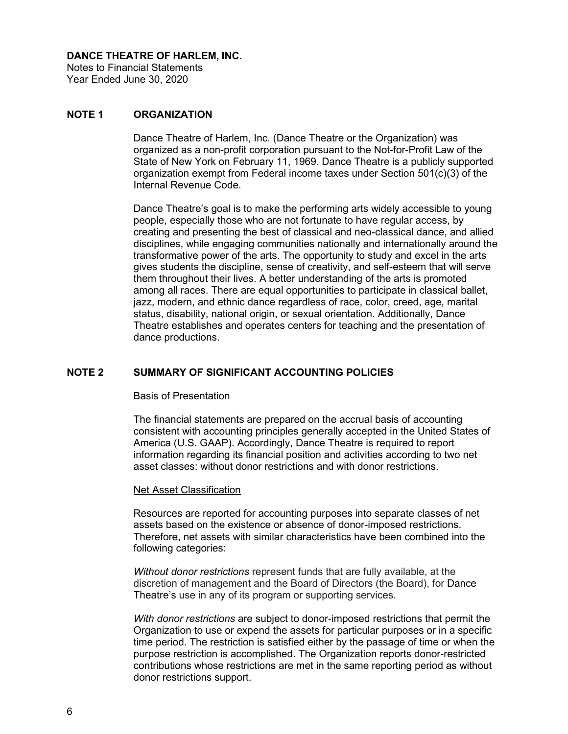Notes to Financial Statements Year Ended June 30, 2020

# **NOTE 1 ORGANIZATION**

Dance Theatre of Harlem, Inc. (Dance Theatre or the Organization) was organized as a non-profit corporation pursuant to the Not-for-Profit Law of the State of New York on February 11, 1969. Dance Theatre is a publicly supported organization exempt from Federal income taxes under Section 501(c)(3) of the Internal Revenue Code.

Dance Theatre's goal is to make the performing arts widely accessible to young people, especially those who are not fortunate to have regular access, by creating and presenting the best of classical and neo-classical dance, and allied disciplines, while engaging communities nationally and internationally around the transformative power of the arts. The opportunity to study and excel in the arts gives students the discipline, sense of creativity, and self-esteem that will serve them throughout their lives. A better understanding of the arts is promoted among all races. There are equal opportunities to participate in classical ballet, jazz, modern, and ethnic dance regardless of race, color, creed, age, marital status, disability, national origin, or sexual orientation. Additionally, Dance Theatre establishes and operates centers for teaching and the presentation of dance productions.

# **NOTE 2 SUMMARY OF SIGNIFICANT ACCOUNTING POLICIES**

#### Basis of Presentation

The financial statements are prepared on the accrual basis of accounting consistent with accounting principles generally accepted in the United States of America (U.S. GAAP). Accordingly, Dance Theatre is required to report information regarding its financial position and activities according to two net asset classes: without donor restrictions and with donor restrictions.

#### Net Asset Classification

Resources are reported for accounting purposes into separate classes of net assets based on the existence or absence of donor-imposed restrictions. Therefore, net assets with similar characteristics have been combined into the following categories:

*Without donor restrictions* represent funds that are fully available, at the discretion of management and the Board of Directors (the Board), for Dance Theatre's use in any of its program or supporting services.

*With donor restrictions* are subject to donor-imposed restrictions that permit the Organization to use or expend the assets for particular purposes or in a specific time period. The restriction is satisfied either by the passage of time or when the purpose restriction is accomplished. The Organization reports donor-restricted contributions whose restrictions are met in the same reporting period as without donor restrictions support.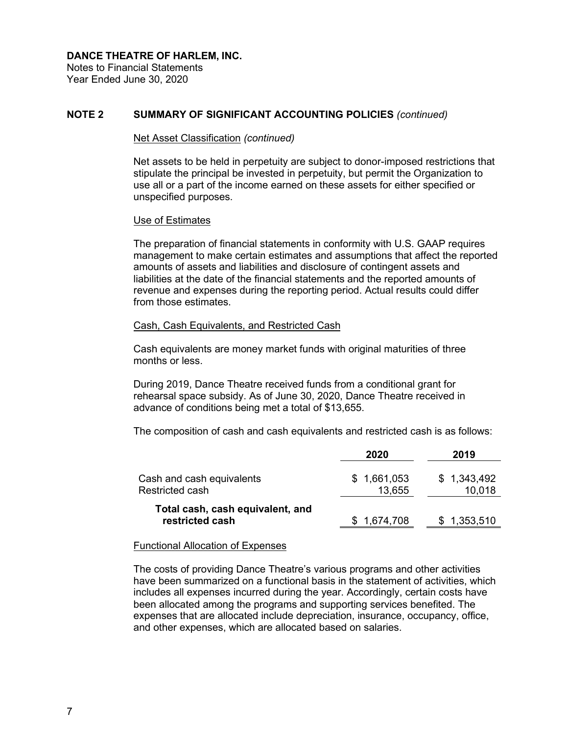Notes to Financial Statements Year Ended June 30, 2020

## **NOTE 2 SUMMARY OF SIGNIFICANT ACCOUNTING POLICIES** *(continued)*

#### Net Asset Classification *(continued)*

Net assets to be held in perpetuity are subject to donor-imposed restrictions that stipulate the principal be invested in perpetuity, but permit the Organization to use all or a part of the income earned on these assets for either specified or unspecified purposes.

#### Use of Estimates

The preparation of financial statements in conformity with U.S. GAAP requires management to make certain estimates and assumptions that affect the reported amounts of assets and liabilities and disclosure of contingent assets and liabilities at the date of the financial statements and the reported amounts of revenue and expenses during the reporting period. Actual results could differ from those estimates.

### Cash, Cash Equivalents, and Restricted Cash

Cash equivalents are money market funds with original maturities of three months or less.

During 2019, Dance Theatre received funds from a conditional grant for rehearsal space subsidy. As of June 30, 2020, Dance Theatre received in advance of conditions being met a total of \$13,655.

The composition of cash and cash equivalents and restricted cash is as follows:

|                                                     | 2020                  | 2019                  |
|-----------------------------------------------------|-----------------------|-----------------------|
| Cash and cash equivalents<br>Restricted cash        | \$1,661,053<br>13,655 | \$1,343,492<br>10,018 |
| Total cash, cash equivalent, and<br>restricted cash | 1,674,708             | \$1,353,510           |

#### Functional Allocation of Expenses

The costs of providing Dance Theatre's various programs and other activities have been summarized on a functional basis in the statement of activities, which includes all expenses incurred during the year. Accordingly, certain costs have been allocated among the programs and supporting services benefited. The expenses that are allocated include depreciation, insurance, occupancy, office, and other expenses, which are allocated based on salaries.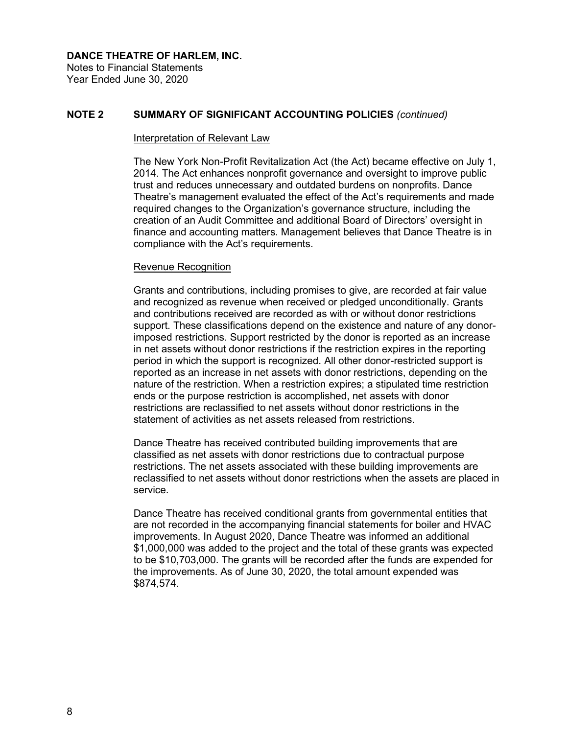Notes to Financial Statements Year Ended June 30, 2020

# **NOTE 2 SUMMARY OF SIGNIFICANT ACCOUNTING POLICIES** *(continued)*

#### Interpretation of Relevant Law

The New York Non-Profit Revitalization Act (the Act) became effective on July 1, 2014. The Act enhances nonprofit governance and oversight to improve public trust and reduces unnecessary and outdated burdens on nonprofits. Dance Theatre's management evaluated the effect of the Act's requirements and made required changes to the Organization's governance structure, including the creation of an Audit Committee and additional Board of Directors' oversight in finance and accounting matters. Management believes that Dance Theatre is in compliance with the Act's requirements.

### Revenue Recognition

Grants and contributions, including promises to give, are recorded at fair value and recognized as revenue when received or pledged unconditionally. Grants and contributions received are recorded as with or without donor restrictions support. These classifications depend on the existence and nature of any donorimposed restrictions. Support restricted by the donor is reported as an increase in net assets without donor restrictions if the restriction expires in the reporting period in which the support is recognized. All other donor-restricted support is reported as an increase in net assets with donor restrictions, depending on the nature of the restriction. When a restriction expires; a stipulated time restriction ends or the purpose restriction is accomplished, net assets with donor restrictions are reclassified to net assets without donor restrictions in the statement of activities as net assets released from restrictions.

Dance Theatre has received contributed building improvements that are classified as net assets with donor restrictions due to contractual purpose restrictions. The net assets associated with these building improvements are reclassified to net assets without donor restrictions when the assets are placed in service.

Dance Theatre has received conditional grants from governmental entities that are not recorded in the accompanying financial statements for boiler and HVAC improvements. In August 2020, Dance Theatre was informed an additional \$1,000,000 was added to the project and the total of these grants was expected to be \$10,703,000. The grants will be recorded after the funds are expended for the improvements. As of June 30, 2020, the total amount expended was \$874,574.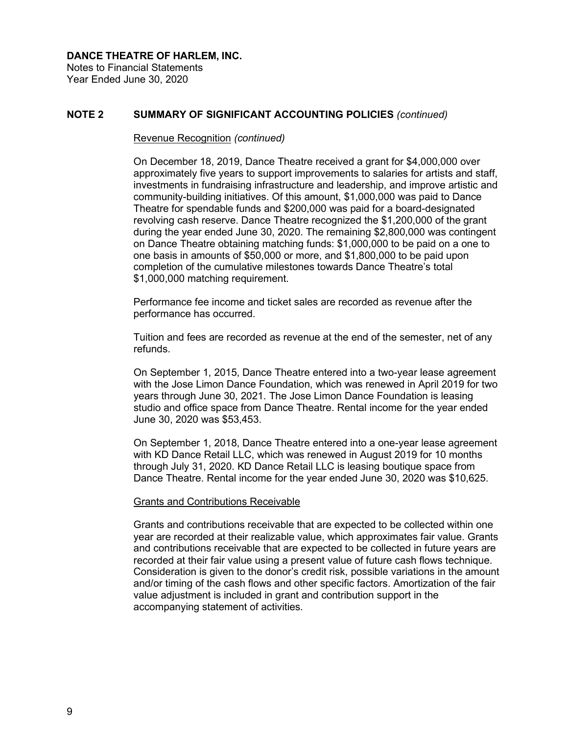Notes to Financial Statements Year Ended June 30, 2020

## **NOTE 2 SUMMARY OF SIGNIFICANT ACCOUNTING POLICIES** *(continued)*

#### Revenue Recognition *(continued)*

On December 18, 2019, Dance Theatre received a grant for \$4,000,000 over approximately five years to support improvements to salaries for artists and staff, investments in fundraising infrastructure and leadership, and improve artistic and community-building initiatives. Of this amount, \$1,000,000 was paid to Dance Theatre for spendable funds and \$200,000 was paid for a board-designated revolving cash reserve. Dance Theatre recognized the \$1,200,000 of the grant during the year ended June 30, 2020. The remaining \$2,800,000 was contingent on Dance Theatre obtaining matching funds: \$1,000,000 to be paid on a one to one basis in amounts of \$50,000 or more, and \$1,800,000 to be paid upon completion of the cumulative milestones towards Dance Theatre's total \$1,000,000 matching requirement.

Performance fee income and ticket sales are recorded as revenue after the performance has occurred.

Tuition and fees are recorded as revenue at the end of the semester, net of any refunds.

On September 1, 2015, Dance Theatre entered into a two-year lease agreement with the Jose Limon Dance Foundation, which was renewed in April 2019 for two years through June 30, 2021. The Jose Limon Dance Foundation is leasing studio and office space from Dance Theatre. Rental income for the year ended June 30, 2020 was \$53,453.

On September 1, 2018, Dance Theatre entered into a one-year lease agreement with KD Dance Retail LLC, which was renewed in August 2019 for 10 months through July 31, 2020. KD Dance Retail LLC is leasing boutique space from Dance Theatre. Rental income for the year ended June 30, 2020 was \$10,625.

### Grants and Contributions Receivable

Grants and contributions receivable that are expected to be collected within one year are recorded at their realizable value, which approximates fair value. Grants and contributions receivable that are expected to be collected in future years are recorded at their fair value using a present value of future cash flows technique. Consideration is given to the donor's credit risk, possible variations in the amount and/or timing of the cash flows and other specific factors. Amortization of the fair value adjustment is included in grant and contribution support in the accompanying statement of activities.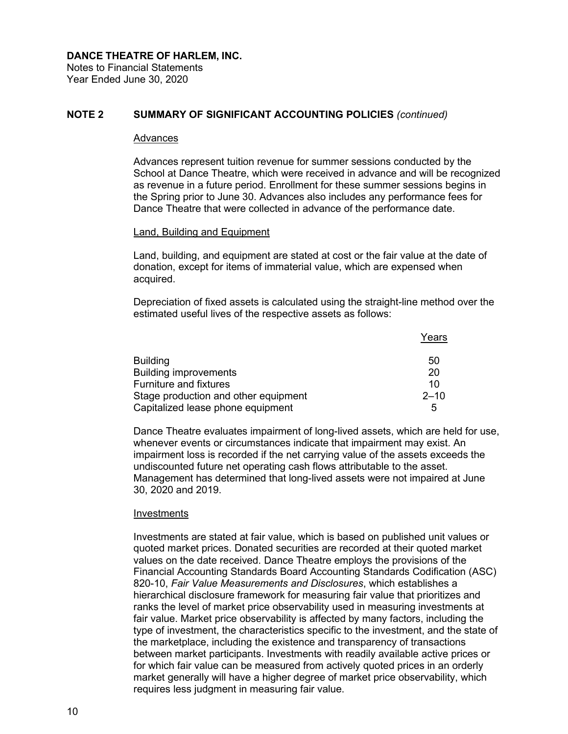Notes to Financial Statements Year Ended June 30, 2020

# **NOTE 2 SUMMARY OF SIGNIFICANT ACCOUNTING POLICIES** *(continued)*

#### Advances

Advances represent tuition revenue for summer sessions conducted by the School at Dance Theatre, which were received in advance and will be recognized as revenue in a future period. Enrollment for these summer sessions begins in the Spring prior to June 30. Advances also includes any performance fees for Dance Theatre that were collected in advance of the performance date.

#### Land, Building and Equipment

Land, building, and equipment are stated at cost or the fair value at the date of donation, except for items of immaterial value, which are expensed when acquired.

Depreciation of fixed assets is calculated using the straight-line method over the estimated useful lives of the respective assets as follows:

|                                      | Years    |
|--------------------------------------|----------|
| <b>Building</b>                      | 50       |
| <b>Building improvements</b>         | 20       |
| <b>Furniture and fixtures</b>        | 10       |
| Stage production and other equipment | $2 - 10$ |
| Capitalized lease phone equipment    | 5        |

Dance Theatre evaluates impairment of long-lived assets, which are held for use, whenever events or circumstances indicate that impairment may exist. An impairment loss is recorded if the net carrying value of the assets exceeds the undiscounted future net operating cash flows attributable to the asset. Management has determined that long-lived assets were not impaired at June 30, 2020 and 2019.

#### Investments

Investments are stated at fair value, which is based on published unit values or quoted market prices. Donated securities are recorded at their quoted market values on the date received. Dance Theatre employs the provisions of the Financial Accounting Standards Board Accounting Standards Codification (ASC) 820-10, *Fair Value Measurements and Disclosures*, which establishes a hierarchical disclosure framework for measuring fair value that prioritizes and ranks the level of market price observability used in measuring investments at fair value. Market price observability is affected by many factors, including the type of investment, the characteristics specific to the investment, and the state of the marketplace, including the existence and transparency of transactions between market participants. Investments with readily available active prices or for which fair value can be measured from actively quoted prices in an orderly market generally will have a higher degree of market price observability, which requires less judgment in measuring fair value.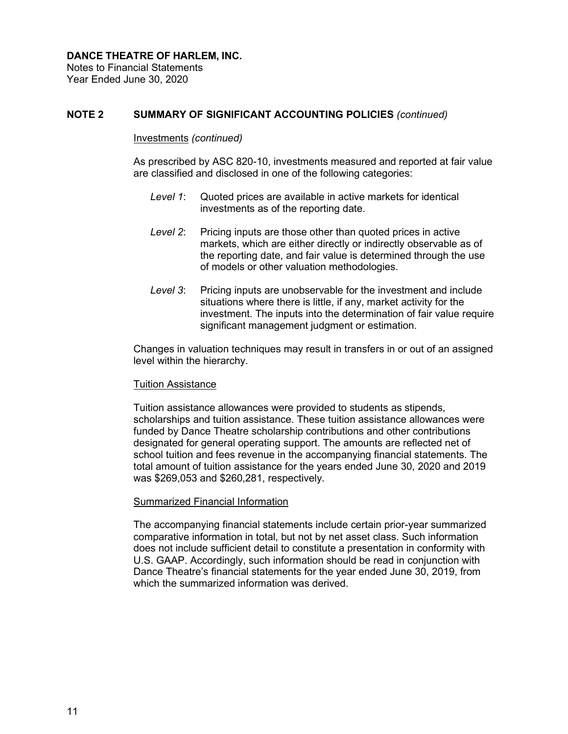Notes to Financial Statements Year Ended June 30, 2020

# **NOTE 2 SUMMARY OF SIGNIFICANT ACCOUNTING POLICIES** *(continued)*

#### Investments *(continued)*

As prescribed by ASC 820-10, investments measured and reported at fair value are classified and disclosed in one of the following categories:

- *Level 1*: Quoted prices are available in active markets for identical investments as of the reporting date.
- *Level 2*: Pricing inputs are those other than quoted prices in active markets, which are either directly or indirectly observable as of the reporting date, and fair value is determined through the use of models or other valuation methodologies.
- *Level 3*: Pricing inputs are unobservable for the investment and include situations where there is little, if any, market activity for the investment. The inputs into the determination of fair value require significant management judgment or estimation.

Changes in valuation techniques may result in transfers in or out of an assigned level within the hierarchy.

### Tuition Assistance

Tuition assistance allowances were provided to students as stipends, scholarships and tuition assistance. These tuition assistance allowances were funded by Dance Theatre scholarship contributions and other contributions designated for general operating support. The amounts are reflected net of school tuition and fees revenue in the accompanying financial statements. The total amount of tuition assistance for the years ended June 30, 2020 and 2019 was \$269,053 and \$260,281, respectively.

### Summarized Financial Information

The accompanying financial statements include certain prior-year summarized comparative information in total, but not by net asset class. Such information does not include sufficient detail to constitute a presentation in conformity with U.S. GAAP. Accordingly, such information should be read in conjunction with Dance Theatre's financial statements for the year ended June 30, 2019, from which the summarized information was derived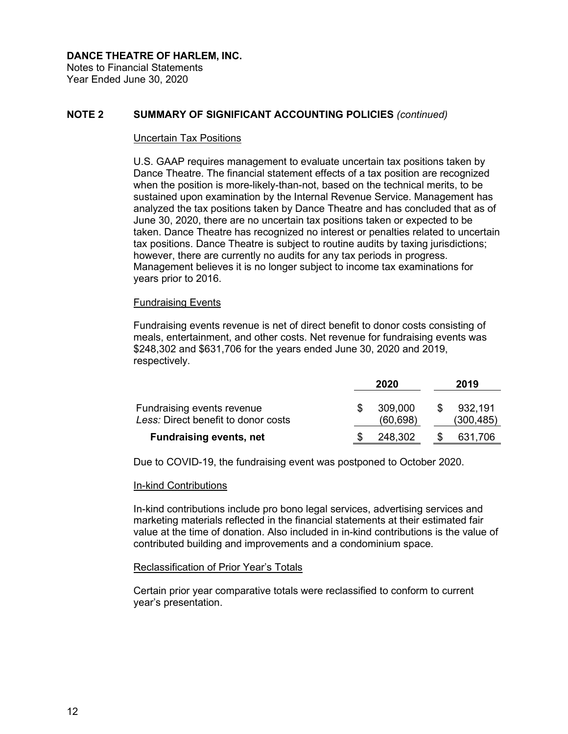Notes to Financial Statements Year Ended June 30, 2020

# **NOTE 2 SUMMARY OF SIGNIFICANT ACCOUNTING POLICIES** *(continued)*

#### Uncertain Tax Positions

U.S. GAAP requires management to evaluate uncertain tax positions taken by Dance Theatre. The financial statement effects of a tax position are recognized when the position is more-likely-than-not, based on the technical merits, to be sustained upon examination by the Internal Revenue Service. Management has analyzed the tax positions taken by Dance Theatre and has concluded that as of June 30, 2020, there are no uncertain tax positions taken or expected to be taken. Dance Theatre has recognized no interest or penalties related to uncertain tax positions. Dance Theatre is subject to routine audits by taxing jurisdictions; however, there are currently no audits for any tax periods in progress. Management believes it is no longer subject to income tax examinations for years prior to 2016.

#### Fundraising Events

Fundraising events revenue is net of direct benefit to donor costs consisting of meals, entertainment, and other costs. Net revenue for fundraising events was \$248,302 and \$631,706 for the years ended June 30, 2020 and 2019, respectively.

|                                                                   | 2020                 |     | 2019                  |
|-------------------------------------------------------------------|----------------------|-----|-----------------------|
| Fundraising events revenue<br>Less: Direct benefit to donor costs | 309,000<br>(60, 698) | -SS | 932,191<br>(300, 485) |
| <b>Fundraising events, net</b>                                    | 248,302              |     | 631,706               |

Due to COVID-19, the fundraising event was postponed to October 2020.

### In-kind Contributions

In-kind contributions include pro bono legal services, advertising services and marketing materials reflected in the financial statements at their estimated fair value at the time of donation. Also included in in-kind contributions is the value of contributed building and improvements and a condominium space.

#### Reclassification of Prior Year's Totals

Certain prior year comparative totals were reclassified to conform to current year's presentation.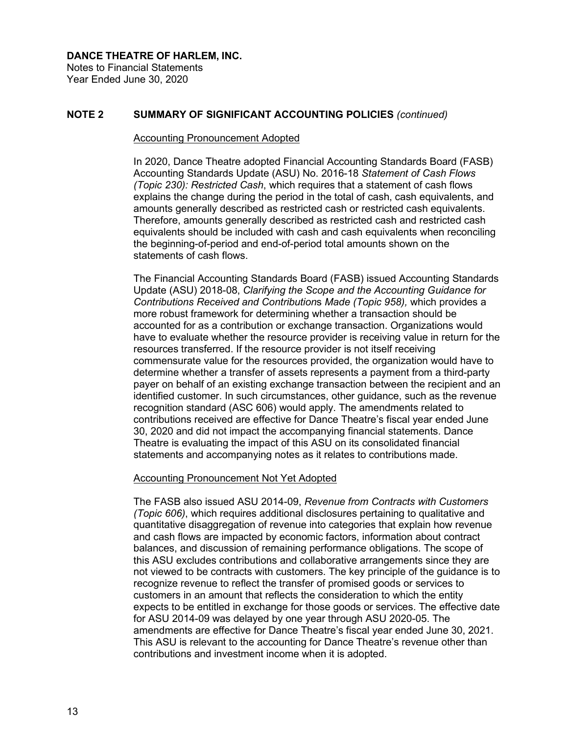Notes to Financial Statements Year Ended June 30, 2020

# **NOTE 2 SUMMARY OF SIGNIFICANT ACCOUNTING POLICIES** *(continued)*

#### Accounting Pronouncement Adopted

In 2020, Dance Theatre adopted Financial Accounting Standards Board (FASB) Accounting Standards Update (ASU) No. 2016-18 *Statement of Cash Flows (Topic 230): Restricted Cash*, which requires that a statement of cash flows explains the change during the period in the total of cash, cash equivalents, and amounts generally described as restricted cash or restricted cash equivalents. Therefore, amounts generally described as restricted cash and restricted cash equivalents should be included with cash and cash equivalents when reconciling the beginning-of-period and end-of-period total amounts shown on the statements of cash flows.

The Financial Accounting Standards Board (FASB) issued Accounting Standards Update (ASU) 2018-08, *Clarifying the Scope and the Accounting Guidance for Contributions Received and Contribution*s *Made (Topic 958),* which provides a more robust framework for determining whether a transaction should be accounted for as a contribution or exchange transaction. Organizations would have to evaluate whether the resource provider is receiving value in return for the resources transferred. If the resource provider is not itself receiving commensurate value for the resources provided, the organization would have to determine whether a transfer of assets represents a payment from a third-party payer on behalf of an existing exchange transaction between the recipient and an identified customer. In such circumstances, other guidance, such as the revenue recognition standard (ASC 606) would apply. The amendments related to contributions received are effective for Dance Theatre's fiscal year ended June 30, 2020 and did not impact the accompanying financial statements. Dance Theatre is evaluating the impact of this ASU on its consolidated financial statements and accompanying notes as it relates to contributions made.

### Accounting Pronouncement Not Yet Adopted

The FASB also issued ASU 2014-09, *Revenue from Contracts with Customers (Topic 606)*, which requires additional disclosures pertaining to qualitative and quantitative disaggregation of revenue into categories that explain how revenue and cash flows are impacted by economic factors, information about contract balances, and discussion of remaining performance obligations. The scope of this ASU excludes contributions and collaborative arrangements since they are not viewed to be contracts with customers. The key principle of the guidance is to recognize revenue to reflect the transfer of promised goods or services to customers in an amount that reflects the consideration to which the entity expects to be entitled in exchange for those goods or services. The effective date for ASU 2014-09 was delayed by one year through ASU 2020-05. The amendments are effective for Dance Theatre's fiscal year ended June 30, 2021. This ASU is relevant to the accounting for Dance Theatre's revenue other than contributions and investment income when it is adopted.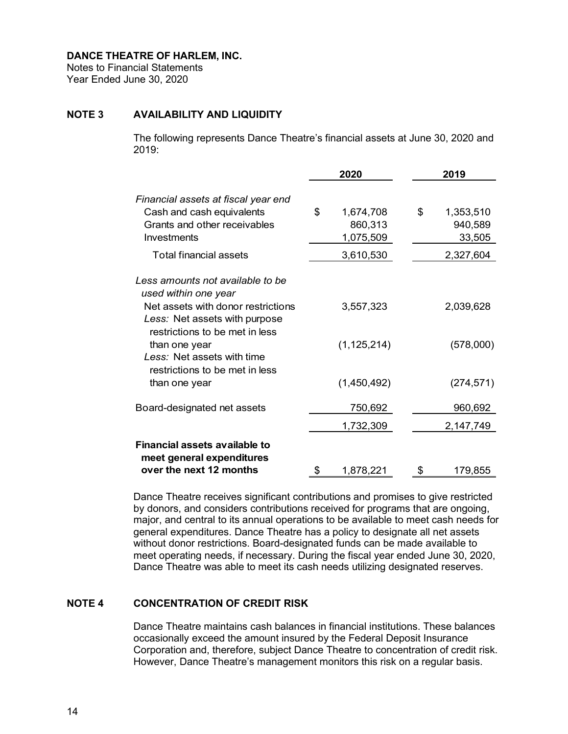Notes to Financial Statements Year Ended June 30, 2020

# **NOTE 3 AVAILABILITY AND LIQUIDITY**

The following represents Dance Theatre's financial assets at June 30, 2020 and 2019:

|                                                                                                                                                                                                                  |    | 2020                              |    | 2019                           |  |
|------------------------------------------------------------------------------------------------------------------------------------------------------------------------------------------------------------------|----|-----------------------------------|----|--------------------------------|--|
| Financial assets at fiscal year end<br>Cash and cash equivalents<br>Grants and other receivables<br>Investments                                                                                                  | \$ | 1,674,708<br>860,313<br>1,075,509 | \$ | 1,353,510<br>940,589<br>33,505 |  |
| <b>Total financial assets</b>                                                                                                                                                                                    |    | 3,610,530                         |    | 2,327,604                      |  |
| Less amounts not available to be<br>used within one year<br>Net assets with donor restrictions<br>Less: Net assets with purpose<br>restrictions to be met in less<br>than one year<br>Less: Net assets with time |    | 3,557,323<br>(1, 125, 214)        |    | 2,039,628<br>(578,000)         |  |
| restrictions to be met in less<br>than one year                                                                                                                                                                  |    | (1,450,492)                       |    | (274, 571)                     |  |
| Board-designated net assets                                                                                                                                                                                      |    | 750,692                           |    | 960,692                        |  |
|                                                                                                                                                                                                                  |    | 1,732,309                         |    | 2,147,749                      |  |
| Financial assets available to<br>meet general expenditures<br>over the next 12 months                                                                                                                            | \$ | 1,878,221                         | \$ | 179,855                        |  |

Dance Theatre receives significant contributions and promises to give restricted by donors, and considers contributions received for programs that are ongoing, major, and central to its annual operations to be available to meet cash needs for general expenditures. Dance Theatre has a policy to designate all net assets without donor restrictions. Board-designated funds can be made available to meet operating needs, if necessary. During the fiscal year ended June 30, 2020, Dance Theatre was able to meet its cash needs utilizing designated reserves.

# **NOTE 4 CONCENTRATION OF CREDIT RISK**

Dance Theatre maintains cash balances in financial institutions. These balances occasionally exceed the amount insured by the Federal Deposit Insurance Corporation and, therefore, subject Dance Theatre to concentration of credit risk. However, Dance Theatre's management monitors this risk on a regular basis.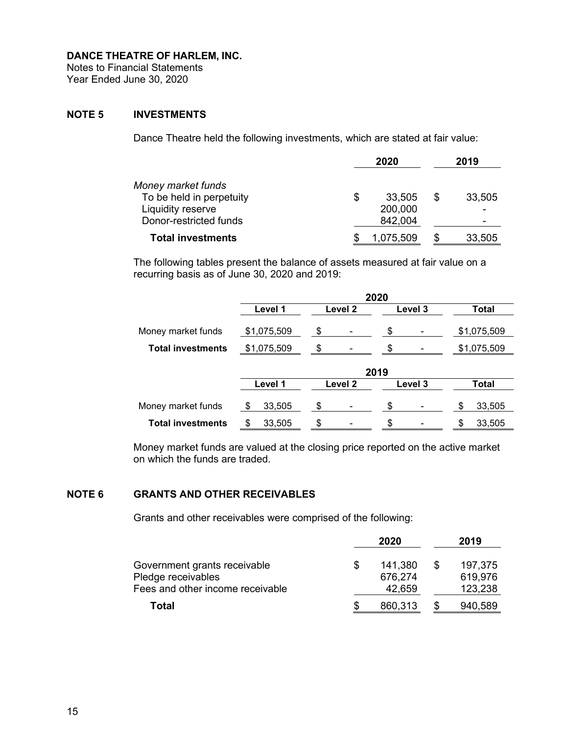Notes to Financial Statements Year Ended June 30, 2020

# **NOTE 5 INVESTMENTS**

Dance Theatre held the following investments, which are stated at fair value:

|                          |   | 2020      |   | 2019   |
|--------------------------|---|-----------|---|--------|
| Money market funds       |   |           |   |        |
| To be held in perpetuity | S | 33,505    | S | 33,505 |
| Liquidity reserve        |   | 200,000   |   |        |
| Donor-restricted funds   |   | 842,004   |   | -      |
| <b>Total investments</b> |   | 1,075,509 |   | 33,505 |

The following tables present the balance of assets measured at fair value on a recurring basis as of June 30, 2020 and 2019:

|                          |               |         | 2020    |              |
|--------------------------|---------------|---------|---------|--------------|
|                          | Level 1       | Level 2 | Level 3 | Total        |
| Money market funds       | \$1,075,509   | \$      | \$      | \$1,075,509  |
| <b>Total investments</b> | \$1,075,509   | \$      | \$      | \$1,075,509  |
|                          |               |         | 2019    |              |
|                          | Level 1       | Level 2 | Level 3 | Total        |
| Money market funds       | 33,505<br>-\$ | \$      | \$      | 33,505<br>\$ |
| <b>Total investments</b> | 33,505<br>\$  | \$      | \$      | 33,505<br>\$ |

Money market funds are valued at the closing price reported on the active market on which the funds are traded.

# **NOTE 6 GRANTS AND OTHER RECEIVABLES**

Grants and other receivables were comprised of the following:

|                                                    | 2020               |     | 2019               |
|----------------------------------------------------|--------------------|-----|--------------------|
| Government grants receivable<br>Pledge receivables | 141,380<br>676,274 | \$. | 197,375<br>619,976 |
| Fees and other income receivable                   | 42,659             |     | 123,238            |
| Total                                              | 860,313            |     | 940,589            |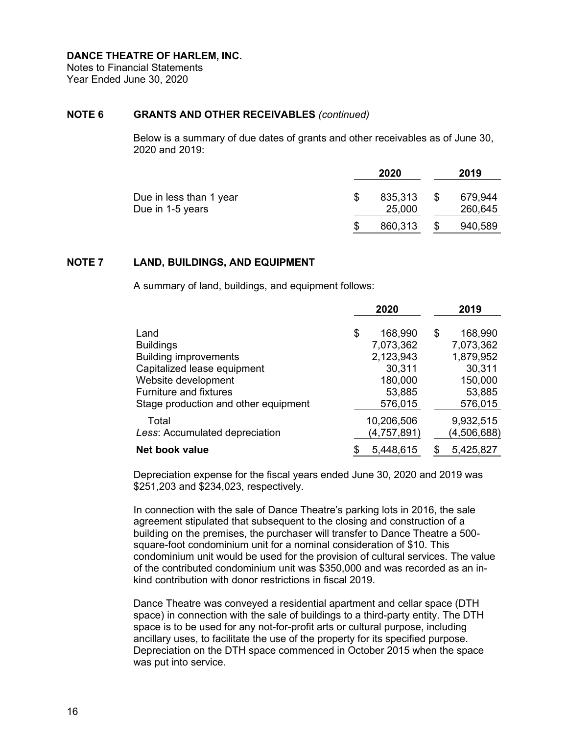Notes to Financial Statements Year Ended June 30, 2020

## **NOTE 6 GRANTS AND OTHER RECEIVABLES** *(continued)*

Below is a summary of due dates of grants and other receivables as of June 30, 2020 and 2019:

|                                             | 2020              |   | 2019               |
|---------------------------------------------|-------------------|---|--------------------|
| Due in less than 1 year<br>Due in 1-5 years | 835,313<br>25,000 | S | 679,944<br>260,645 |
|                                             | 860,313           |   | 940,589            |

## **NOTE 7 LAND, BUILDINGS, AND EQUIPMENT**

A summary of land, buildings, and equipment follows:

|                                      | 2020          | 2019          |
|--------------------------------------|---------------|---------------|
| Land                                 | \$<br>168,990 | 168,990<br>\$ |
| <b>Buildings</b>                     | 7,073,362     | 7,073,362     |
| <b>Building improvements</b>         | 2,123,943     | 1,879,952     |
| Capitalized lease equipment          | 30,311        | 30,311        |
| Website development                  | 180,000       | 150,000       |
| <b>Furniture and fixtures</b>        | 53,885        | 53,885        |
| Stage production and other equipment | 576,015       | 576,015       |
| Total                                | 10,206,506    | 9,932,515     |
| Less: Accumulated depreciation       | (4,757,891)   | (4,506,688)   |
| Net book value                       | 5,448,615     | 5,425,827     |

Depreciation expense for the fiscal years ended June 30, 2020 and 2019 was \$251,203 and \$234,023, respectively.

In connection with the sale of Dance Theatre's parking lots in 2016, the sale agreement stipulated that subsequent to the closing and construction of a building on the premises, the purchaser will transfer to Dance Theatre a 500 square-foot condominium unit for a nominal consideration of \$10. This condominium unit would be used for the provision of cultural services. The value of the contributed condominium unit was \$350,000 and was recorded as an inkind contribution with donor restrictions in fiscal 2019.

Dance Theatre was conveyed a residential apartment and cellar space (DTH space) in connection with the sale of buildings to a third-party entity. The DTH space is to be used for any not-for-profit arts or cultural purpose, including ancillary uses, to facilitate the use of the property for its specified purpose. Depreciation on the DTH space commenced in October 2015 when the space was put into service.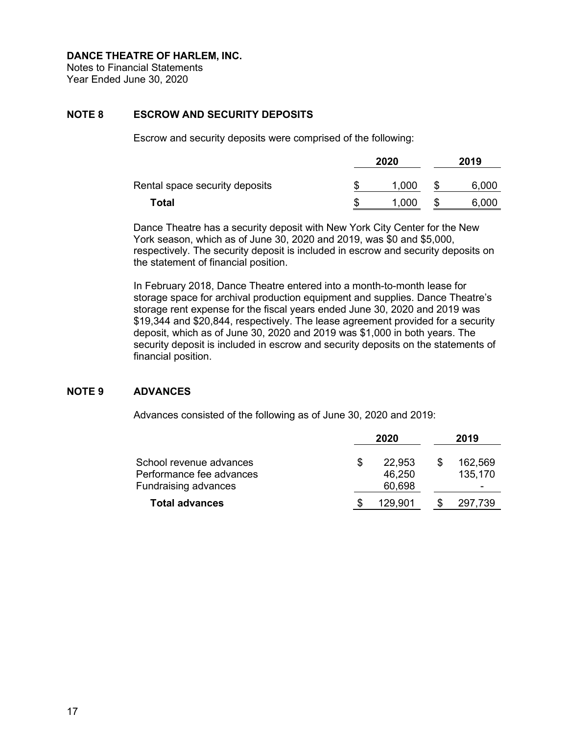Notes to Financial Statements Year Ended June 30, 2020

# **NOTE 8 ESCROW AND SECURITY DEPOSITS**

Escrow and security deposits were comprised of the following:

|                                | 2020 | 2019  |  |       |  |
|--------------------------------|------|-------|--|-------|--|
| Rental space security deposits |      | 1,000 |  | 6,000 |  |
| Total                          |      | 1,000 |  | 6,000 |  |

Dance Theatre has a security deposit with New York City Center for the New York season, which as of June 30, 2020 and 2019, was \$0 and \$5,000, respectively. The security deposit is included in escrow and security deposits on the statement of financial position.

In February 2018, Dance Theatre entered into a month-to-month lease for storage space for archival production equipment and supplies. Dance Theatre's storage rent expense for the fiscal years ended June 30, 2020 and 2019 was \$19,344 and \$20,844, respectively. The lease agreement provided for a security deposit, which as of June 30, 2020 and 2019 was \$1,000 in both years. The security deposit is included in escrow and security deposits on the statements of financial position.

### **NOTE 9 ADVANCES**

Advances consisted of the following as of June 30, 2020 and 2019:

|                                                     | 2020 |                  |  | 2019               |
|-----------------------------------------------------|------|------------------|--|--------------------|
| School revenue advances<br>Performance fee advances |      | 22,953<br>46,250 |  | 162,569<br>135,170 |
| <b>Fundraising advances</b>                         |      | 60,698           |  | -                  |
| <b>Total advances</b>                               |      | 129,901          |  | 297,739            |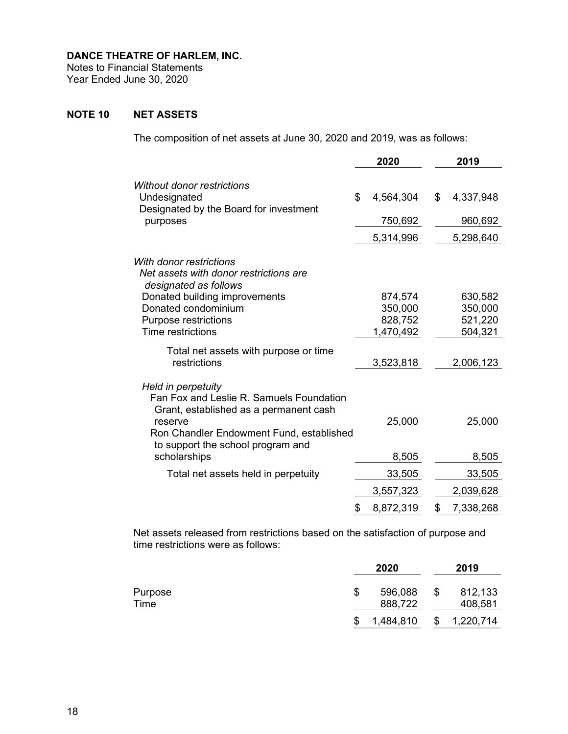Notes to Financial Statements Year Ended June 30, 2020

# **NOTE 10 NET ASSETS**

The composition of net assets at June 30, 2020 and 2019, was as follows:

|                                                                                                                                                                                                      | 2020                                       | 2019                                     |
|------------------------------------------------------------------------------------------------------------------------------------------------------------------------------------------------------|--------------------------------------------|------------------------------------------|
| <b>Without donor restrictions</b><br>Undesignated<br>Designated by the Board for investment<br>purposes                                                                                              | \$<br>4,564,304<br>750,692<br>5,314,996    | \$<br>4,337,948<br>960,692<br>5,298,640  |
| With donor restrictions<br>Net assets with donor restrictions are<br>designated as follows                                                                                                           |                                            |                                          |
| Donated building improvements<br>Donated condominium<br><b>Purpose restrictions</b><br><b>Time restrictions</b>                                                                                      | 874,574<br>350,000<br>828,752<br>1,470,492 | 630,582<br>350,000<br>521,220<br>504,321 |
| Total net assets with purpose or time<br>restrictions                                                                                                                                                | 3,523,818                                  | 2,006,123                                |
| Held in perpetuity<br>Fan Fox and Leslie R. Samuels Foundation<br>Grant, established as a permanent cash<br>reserve<br>Ron Chandler Endowment Fund, established<br>to support the school program and | 25,000                                     | 25,000                                   |
| scholarships                                                                                                                                                                                         | 8,505                                      | 8,505                                    |
| Total net assets held in perpetuity                                                                                                                                                                  | 33,505                                     | 33,505                                   |
|                                                                                                                                                                                                      | 3,557,323                                  | 2,039,628                                |
|                                                                                                                                                                                                      | \$<br>8,872,319                            | \$<br>7,338,268                          |

Net assets released from restrictions based on the satisfaction of purpose and time restrictions were as follows:

|                 |    | 2020               |    | 2019               |
|-----------------|----|--------------------|----|--------------------|
| Purpose<br>Time | S  | 596,088<br>888,722 | \$ | 812,133<br>408,581 |
|                 |    |                    |    |                    |
|                 | \$ | 1,484,810          | S  | 1,220,714          |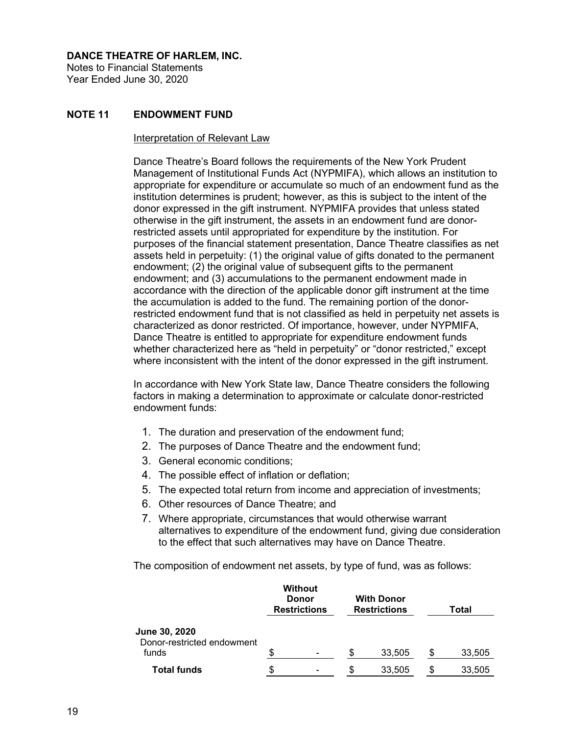Notes to Financial Statements Year Ended June 30, 2020

# **NOTE 11 ENDOWMENT FUND**

#### Interpretation of Relevant Law

Dance Theatre's Board follows the requirements of the New York Prudent Management of Institutional Funds Act (NYPMIFA), which allows an institution to appropriate for expenditure or accumulate so much of an endowment fund as the institution determines is prudent; however, as this is subject to the intent of the donor expressed in the gift instrument. NYPMIFA provides that unless stated otherwise in the gift instrument, the assets in an endowment fund are donorrestricted assets until appropriated for expenditure by the institution. For purposes of the financial statement presentation, Dance Theatre classifies as net assets held in perpetuity: (1) the original value of gifts donated to the permanent endowment; (2) the original value of subsequent gifts to the permanent endowment; and (3) accumulations to the permanent endowment made in accordance with the direction of the applicable donor gift instrument at the time the accumulation is added to the fund. The remaining portion of the donorrestricted endowment fund that is not classified as held in perpetuity net assets is characterized as donor restricted. Of importance, however, under NYPMIFA, Dance Theatre is entitled to appropriate for expenditure endowment funds whether characterized here as "held in perpetuity" or "donor restricted," except where inconsistent with the intent of the donor expressed in the gift instrument.

In accordance with New York State law, Dance Theatre considers the following factors in making a determination to approximate or calculate donor-restricted endowment funds:

- 1. The duration and preservation of the endowment fund;
- 2. The purposes of Dance Theatre and the endowment fund;
- 3. General economic conditions;
- 4. The possible effect of inflation or deflation;
- 5. The expected total return from income and appreciation of investments;
- 6. Other resources of Dance Theatre; and
- 7. Where appropriate, circumstances that would otherwise warrant alternatives to expenditure of the endowment fund, giving due consideration to the effect that such alternatives may have on Dance Theatre.

The composition of endowment net assets, by type of fund, was as follows:

|         |                                                       |        |                                                    | Total  |  |  |  |
|---------|-------------------------------------------------------|--------|----------------------------------------------------|--------|--|--|--|
|         |                                                       |        |                                                    |        |  |  |  |
|         |                                                       |        |                                                    | 33,505 |  |  |  |
| \$<br>۰ | \$                                                    | 33,505 | S                                                  | 33,505 |  |  |  |
|         | <b>Without</b><br><b>Donor</b><br><b>Restrictions</b> |        | <b>With Donor</b><br><b>Restrictions</b><br>33,505 | S      |  |  |  |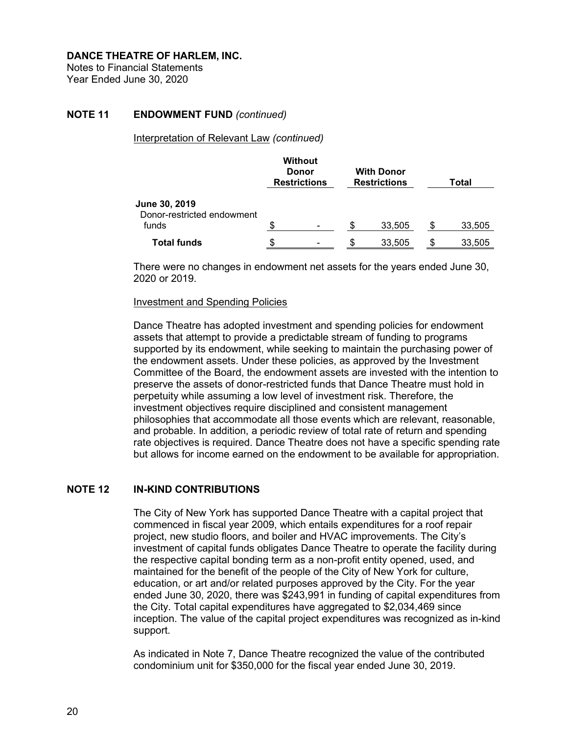Notes to Financial Statements Year Ended June 30, 2020

## **NOTE 11 ENDOWMENT FUND** *(continued)*

Interpretation of Relevant Law *(continued)*

|                                                      |    | <b>Without</b><br><b>Donor</b><br><b>Restrictions</b> | <b>With Donor</b><br><b>Restrictions</b> | Total |        |  |  |
|------------------------------------------------------|----|-------------------------------------------------------|------------------------------------------|-------|--------|--|--|
| June 30, 2019<br>Donor-restricted endowment<br>funds | S  |                                                       | \$<br>33,505                             | S     | 33,505 |  |  |
| <b>Total funds</b>                                   | \$ | ۰                                                     | 33,505                                   | S     | 33,505 |  |  |

There were no changes in endowment net assets for the years ended June 30, 2020 or 2019.

#### Investment and Spending Policies

Dance Theatre has adopted investment and spending policies for endowment assets that attempt to provide a predictable stream of funding to programs supported by its endowment, while seeking to maintain the purchasing power of the endowment assets. Under these policies, as approved by the Investment Committee of the Board, the endowment assets are invested with the intention to preserve the assets of donor-restricted funds that Dance Theatre must hold in perpetuity while assuming a low level of investment risk. Therefore, the investment objectives require disciplined and consistent management philosophies that accommodate all those events which are relevant, reasonable, and probable. In addition, a periodic review of total rate of return and spending rate objectives is required. Dance Theatre does not have a specific spending rate but allows for income earned on the endowment to be available for appropriation.

# **NOTE 12 IN-KIND CONTRIBUTIONS**

The City of New York has supported Dance Theatre with a capital project that commenced in fiscal year 2009, which entails expenditures for a roof repair project, new studio floors, and boiler and HVAC improvements. The City's investment of capital funds obligates Dance Theatre to operate the facility during the respective capital bonding term as a non-profit entity opened, used, and maintained for the benefit of the people of the City of New York for culture, education, or art and/or related purposes approved by the City. For the year ended June 30, 2020, there was \$243,991 in funding of capital expenditures from the City. Total capital expenditures have aggregated to \$2,034,469 since inception. The value of the capital project expenditures was recognized as in-kind support.

As indicated in Note 7, Dance Theatre recognized the value of the contributed condominium unit for \$350,000 for the fiscal year ended June 30, 2019.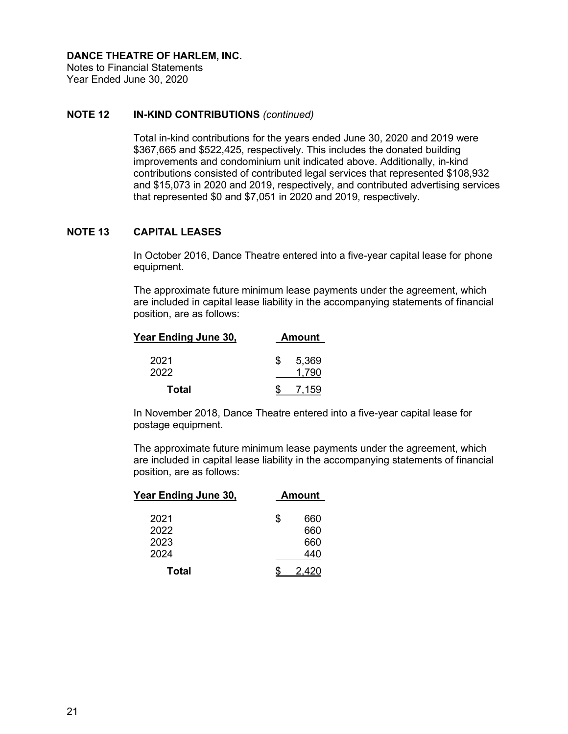Notes to Financial Statements Year Ended June 30, 2020

# **NOTE 12 IN-KIND CONTRIBUTIONS** *(continued)*

Total in-kind contributions for the years ended June 30, 2020 and 2019 were \$367,665 and \$522,425, respectively. This includes the donated building improvements and condominium unit indicated above. Additionally, in-kind contributions consisted of contributed legal services that represented \$108,932 and \$15,073 in 2020 and 2019, respectively, and contributed advertising services that represented \$0 and \$7,051 in 2020 and 2019, respectively.

# **NOTE 13 CAPITAL LEASES**

In October 2016, Dance Theatre entered into a five-year capital lease for phone equipment.

The approximate future minimum lease payments under the agreement, which are included in capital lease liability in the accompanying statements of financial position, are as follows:

| Year Ending June 30, |     | <b>Amount</b>  |
|----------------------|-----|----------------|
| 2021<br>2022         | \$. | 5,369<br>1.790 |
| Total                |     | 7.159          |

In November 2018, Dance Theatre entered into a five-year capital lease for postage equipment.

The approximate future minimum lease payments under the agreement, which are included in capital lease liability in the accompanying statements of financial position, are as follows:

| <u>Year Ending June 30,</u> |   | <b>Amount</b> |
|-----------------------------|---|---------------|
| 2021                        | S | 660           |
| 2022                        |   | 660           |
| 2023                        |   | 660           |
| 2024                        |   | 440           |
| Total                       |   |               |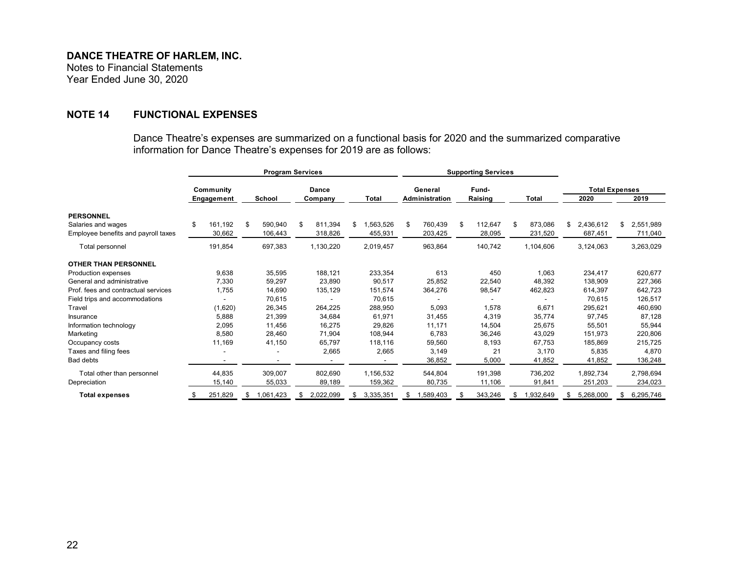Notes to Financial Statements Year Ended June 30, 2020

# **NOTE 14 FUNCTIONAL EXPENSES**

Dance Theatre's expenses are summarized on a functional basis for 2020 and the summarized comparative information for Dance Theatre's expenses for 2019 are as follows:

|                                     | <b>Program Services</b> |            |    |               |         |           |    |              | <b>Supporting Services</b> |                |    |         |    |           |      |           |                 |  |  |                       |  |
|-------------------------------------|-------------------------|------------|----|---------------|---------|-----------|----|--------------|----------------------------|----------------|----|---------|----|-----------|------|-----------|-----------------|--|--|-----------------------|--|
|                                     | Community               |            |    |               |         |           |    |              |                            | <b>Dance</b>   |    |         |    | General   |      | Fund-     |                 |  |  | <b>Total Expenses</b> |  |
|                                     |                         | Engagement |    | <b>School</b> | Company |           |    | <b>Total</b> |                            | Administration |    | Raising |    | Total     | 2020 |           | 2019            |  |  |                       |  |
| <b>PERSONNEL</b>                    |                         |            |    |               |         |           |    |              |                            |                |    |         |    |           |      |           |                 |  |  |                       |  |
| Salaries and wages                  |                         | 161,192    | \$ | 590,940       | \$      | 811,394   | \$ | 1,563,526    | \$                         | 760,439        | \$ | 112,647 | \$ | 873,086   | S    | 2,436,612 | \$<br>2,551,989 |  |  |                       |  |
| Employee benefits and payroll taxes |                         | 30,662     |    | 106,443       |         | 318,826   |    | 455,931      |                            | 203,425        |    | 28,095  |    | 231,520   |      | 687,451   | 711,040         |  |  |                       |  |
| Total personnel                     |                         | 191,854    |    | 697,383       |         | 1,130,220 |    | 2,019,457    |                            | 963,864        |    | 140,742 |    | 1,104,606 |      | 3,124,063 | 3,263,029       |  |  |                       |  |
| <b>OTHER THAN PERSONNEL</b>         |                         |            |    |               |         |           |    |              |                            |                |    |         |    |           |      |           |                 |  |  |                       |  |
| Production expenses                 |                         | 9,638      |    | 35,595        |         | 188,121   |    | 233,354      |                            | 613            |    | 450     |    | 1,063     |      | 234,417   | 620,677         |  |  |                       |  |
| General and administrative          |                         | 7,330      |    | 59,297        |         | 23,890    |    | 90,517       |                            | 25,852         |    | 22,540  |    | 48,392    |      | 138,909   | 227,366         |  |  |                       |  |
| Prof. fees and contractual services |                         | 1,755      |    | 14,690        |         | 135,129   |    | 151,574      |                            | 364,276        |    | 98,547  |    | 462,823   |      | 614,397   | 642,723         |  |  |                       |  |
| Field trips and accommodations      |                         |            |    | 70,615        |         |           |    | 70,615       |                            |                |    |         |    |           |      | 70,615    | 126,517         |  |  |                       |  |
| Travel                              |                         | (1,620)    |    | 26,345        |         | 264,225   |    | 288,950      |                            | 5,093          |    | 1,578   |    | 6,671     |      | 295,621   | 460,690         |  |  |                       |  |
| Insurance                           |                         | 5,888      |    | 21,399        |         | 34,684    |    | 61,971       |                            | 31,455         |    | 4,319   |    | 35,774    |      | 97,745    | 87,128          |  |  |                       |  |
| Information technology              |                         | 2,095      |    | 11,456        |         | 16,275    |    | 29,826       |                            | 11,171         |    | 14,504  |    | 25,675    |      | 55,501    | 55,944          |  |  |                       |  |
| Marketing                           |                         | 8,580      |    | 28,460        |         | 71,904    |    | 108,944      |                            | 6,783          |    | 36,246  |    | 43,029    |      | 151,973   | 220,806         |  |  |                       |  |
| Occupancy costs                     |                         | 11,169     |    | 41,150        |         | 65,797    |    | 118,116      |                            | 59,560         |    | 8,193   |    | 67,753    |      | 185,869   | 215,725         |  |  |                       |  |
| Taxes and filing fees               |                         |            |    |               |         | 2,665     |    | 2,665        |                            | 3,149          |    | 21      |    | 3,170     |      | 5,835     | 4,870           |  |  |                       |  |
| Bad debts                           |                         |            |    |               |         |           |    |              |                            | 36,852         |    | 5,000   |    | 41,852    |      | 41,852    | 136,248         |  |  |                       |  |
| Total other than personnel          |                         | 44,835     |    | 309,007       |         | 802,690   |    | 1,156,532    |                            | 544,804        |    | 191,398 |    | 736,202   |      | 1,892,734 | 2,798,694       |  |  |                       |  |
| Depreciation                        |                         | 15,140     |    | 55,033        |         | 89,189    |    | 159,362      |                            | 80,735         |    | 11,106  |    | 91,841    |      | 251,203   | 234,023         |  |  |                       |  |
| <b>Total expenses</b>               |                         | 251,829    | S  | 1,061,423     | S.      | 2,022,099 | S. | 3,335,351    | S                          | 1,589,403      | S  | 343,246 | S  | 1,932,649 | S    | 5,268,000 | \$<br>6,295,746 |  |  |                       |  |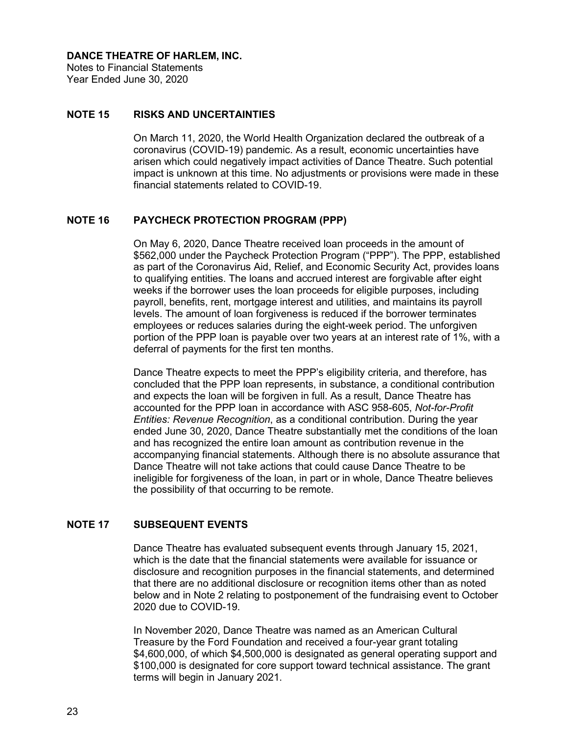Notes to Financial Statements Year Ended June 30, 2020

## **NOTE 15 RISKS AND UNCERTAINTIES**

On March 11, 2020, the World Health Organization declared the outbreak of a coronavirus (COVID-19) pandemic. As a result, economic uncertainties have arisen which could negatively impact activities of Dance Theatre. Such potential impact is unknown at this time. No adjustments or provisions were made in these financial statements related to COVID-19.

## **NOTE 16 PAYCHECK PROTECTION PROGRAM (PPP)**

On May 6, 2020, Dance Theatre received loan proceeds in the amount of \$562,000 under the Paycheck Protection Program ("PPP"). The PPP, established as part of the Coronavirus Aid, Relief, and Economic Security Act, provides loans to qualifying entities. The loans and accrued interest are forgivable after eight weeks if the borrower uses the loan proceeds for eligible purposes, including payroll, benefits, rent, mortgage interest and utilities, and maintains its payroll levels. The amount of loan forgiveness is reduced if the borrower terminates employees or reduces salaries during the eight-week period. The unforgiven portion of the PPP loan is payable over two years at an interest rate of 1%, with a deferral of payments for the first ten months.

Dance Theatre expects to meet the PPP's eligibility criteria, and therefore, has concluded that the PPP loan represents, in substance, a conditional contribution and expects the loan will be forgiven in full. As a result, Dance Theatre has accounted for the PPP loan in accordance with ASC 958-605, *Not-for-Profit Entities: Revenue Recognition*, as a conditional contribution. During the year ended June 30, 2020, Dance Theatre substantially met the conditions of the loan and has recognized the entire loan amount as contribution revenue in the accompanying financial statements. Although there is no absolute assurance that Dance Theatre will not take actions that could cause Dance Theatre to be ineligible for forgiveness of the loan, in part or in whole, Dance Theatre believes the possibility of that occurring to be remote.

# **NOTE 17 SUBSEQUENT EVENTS**

Dance Theatre has evaluated subsequent events through January 15, 2021, which is the date that the financial statements were available for issuance or disclosure and recognition purposes in the financial statements, and determined that there are no additional disclosure or recognition items other than as noted below and in Note 2 relating to postponement of the fundraising event to October 2020 due to COVID-19.

In November 2020, Dance Theatre was named as an American Cultural Treasure by the Ford Foundation and received a four-year grant totaling \$4,600,000, of which \$4,500,000 is designated as general operating support and \$100,000 is designated for core support toward technical assistance. The grant terms will begin in January 2021.